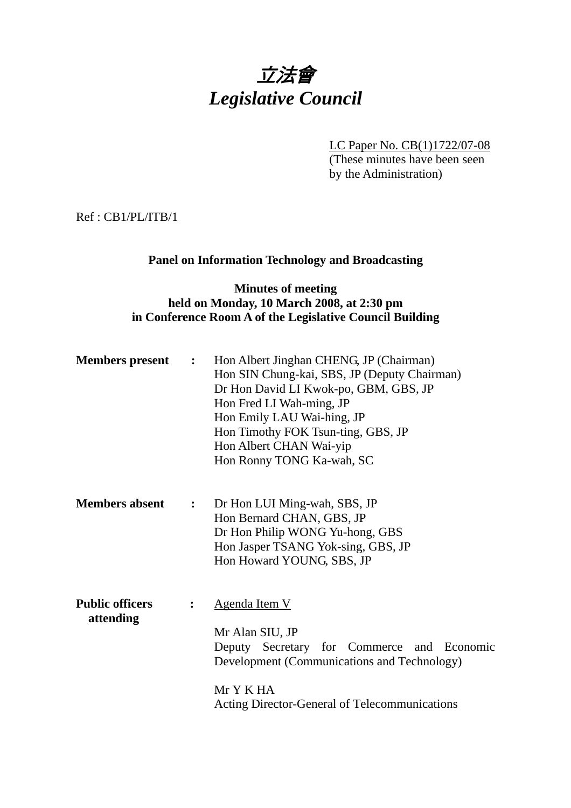# 立法會 *Legislative Council*

LC Paper No. CB(1)1722/07-08 (These minutes have been seen by the Administration)

Ref : CB1/PL/ITB/1

#### **Panel on Information Technology and Broadcasting**

### **Minutes of meeting held on Monday, 10 March 2008, at 2:30 pm in Conference Room A of the Legislative Council Building**

| <b>Members present</b> | $\mathbf{L}$ | Hon Albert Jinghan CHENG, JP (Chairman)<br>Hon SIN Chung-kai, SBS, JP (Deputy Chairman)<br>Dr Hon David LI Kwok-po, GBM, GBS, JP<br>Hon Fred LI Wah-ming, JP<br>Hon Emily LAU Wai-hing, JP<br>Hon Timothy FOK Tsun-ting, GBS, JP<br>Hon Albert CHAN Wai-yip<br>Hon Ronny TONG Ka-wah, SC |
|------------------------|--------------|------------------------------------------------------------------------------------------------------------------------------------------------------------------------------------------------------------------------------------------------------------------------------------------|
| Mambang ahaant         |              | $\mathbf{L}$ Dellas UII Ming was CDC ID                                                                                                                                                                                                                                                  |

**Members absent :** Dr Hon LUI Ming-wah, SBS, JP Hon Bernard CHAN, GBS, JP Dr Hon Philip WONG Yu-hong, GBS Hon Jasper TSANG Yok-sing, GBS, JP Hon Howard YOUNG, SBS, JP

**Public officers :** Agenda Item V  **attending**  Mr Alan SIU, JP Deputy Secretary for Commerce and Economic Development (Communications and Technology) Mr Y K HA Acting Director-General of Telecommunications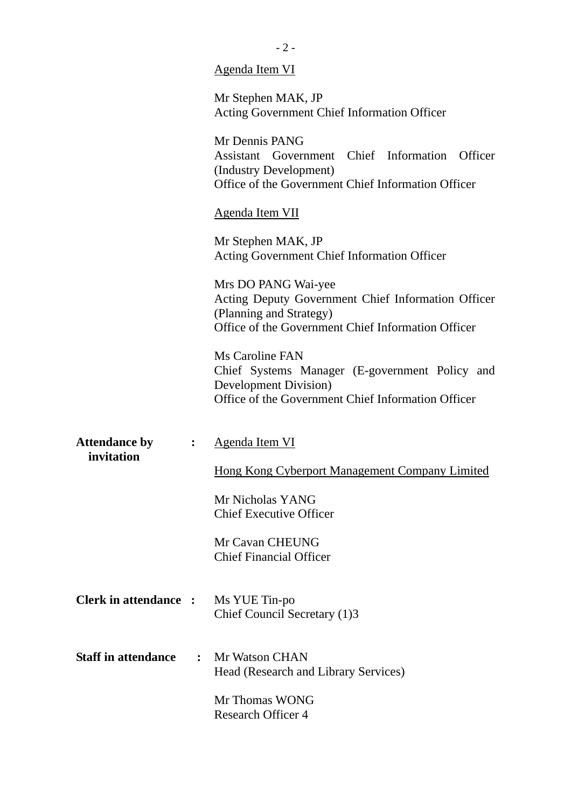|                                    |                | <u>Agenda Item VI</u>                                                                                                                                      |
|------------------------------------|----------------|------------------------------------------------------------------------------------------------------------------------------------------------------------|
|                                    |                | Mr Stephen MAK, JP<br><b>Acting Government Chief Information Officer</b>                                                                                   |
|                                    |                | Mr Dennis PANG<br>Assistant Government Chief Information<br>Officer<br>(Industry Development)<br>Office of the Government Chief Information Officer        |
|                                    |                | <b>Agenda Item VII</b>                                                                                                                                     |
|                                    |                | Mr Stephen MAK, JP<br>Acting Government Chief Information Officer                                                                                          |
|                                    |                | Mrs DO PANG Wai-yee<br>Acting Deputy Government Chief Information Officer<br>(Planning and Strategy)<br>Office of the Government Chief Information Officer |
|                                    |                | Ms Caroline FAN<br>Chief Systems Manager (E-government Policy and<br><b>Development Division</b> )<br>Office of the Government Chief Information Officer   |
| <b>Attendance by</b><br>invitation | $\ddot{\cdot}$ | <u>Agenda Item VI</u>                                                                                                                                      |
|                                    |                | Hong Kong Cyberport Management Company Limited                                                                                                             |
|                                    |                | Mr Nicholas YANG<br><b>Chief Executive Officer</b>                                                                                                         |
|                                    |                | Mr Cavan CHEUNG<br><b>Chief Financial Officer</b>                                                                                                          |
| <b>Clerk in attendance :</b>       |                | Ms YUE Tin-po<br>Chief Council Secretary (1)3                                                                                                              |
| <b>Staff in attendance</b>         | $\ddot{\cdot}$ | <b>Mr Watson CHAN</b><br>Head (Research and Library Services)                                                                                              |
|                                    |                | Mr Thomas WONG<br><b>Research Officer 4</b>                                                                                                                |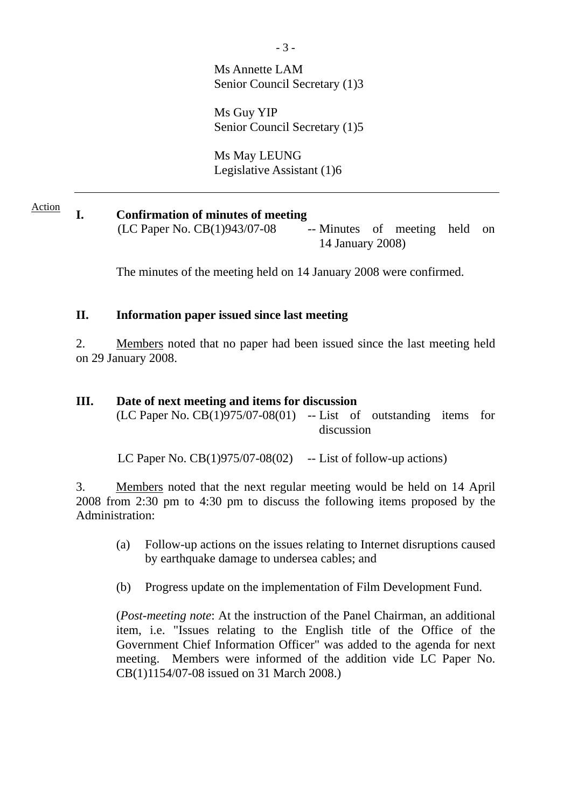Ms Annette LAM Senior Council Secretary (1)3

Ms Guy YIP Senior Council Secretary (1)5

Ms May LEUNG Legislative Assistant (1)6

**I. Confirmation of minutes of meeting**   $(LC$  Paper No.  $CB(1)943/07-08$  -- Minutes of meeting held on 14 January 2008) Action

The minutes of the meeting held on 14 January 2008 were confirmed.

### **II. Information paper issued since last meeting**

2. Members noted that no paper had been issued since the last meeting held on 29 January 2008.

### **III. Date of next meeting and items for discussion**

 $(LC$  Paper No.  $CB(1)975/07-08(01)$  -- List of outstanding items for discussion

LC Paper No.  $CB(1)975/07-08(02)$  -- List of follow-up actions)

3. Members noted that the next regular meeting would be held on 14 April 2008 from 2:30 pm to 4:30 pm to discuss the following items proposed by the Administration:

- (a) Follow-up actions on the issues relating to Internet disruptions caused by earthquake damage to undersea cables; and
- (b) Progress update on the implementation of Film Development Fund.

(*Post-meeting note*: At the instruction of the Panel Chairman, an additional item, i.e. "Issues relating to the English title of the Office of the Government Chief Information Officer" was added to the agenda for next meeting. Members were informed of the addition vide LC Paper No. CB(1)1154/07-08 issued on 31 March 2008.)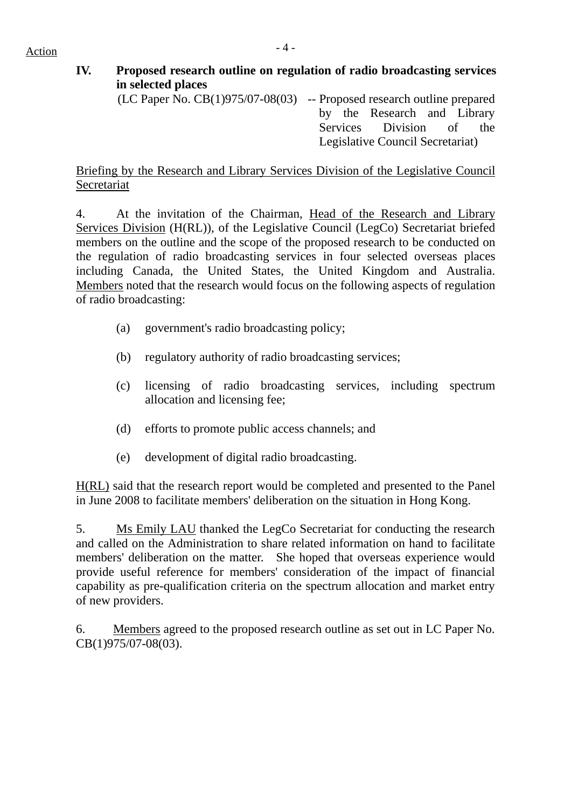## **IV. Proposed research outline on regulation of radio broadcasting services in selected places**

(LC Paper No. CB(1)975/07-08(03) -- Proposed research outline prepared by the Research and Library Services Division of the Legislative Council Secretariat)

### Briefing by the Research and Library Services Division of the Legislative Council Secretariat

4. At the invitation of the Chairman, Head of the Research and Library Services Division (H(RL)), of the Legislative Council (LegCo) Secretariat briefed members on the outline and the scope of the proposed research to be conducted on the regulation of radio broadcasting services in four selected overseas places including Canada, the United States, the United Kingdom and Australia. Members noted that the research would focus on the following aspects of regulation of radio broadcasting:

- (a) government's radio broadcasting policy;
- (b) regulatory authority of radio broadcasting services;
- (c) licensing of radio broadcasting services, including spectrum allocation and licensing fee;
- (d) efforts to promote public access channels; and
- (e) development of digital radio broadcasting.

H(RL) said that the research report would be completed and presented to the Panel in June 2008 to facilitate members' deliberation on the situation in Hong Kong.

5. Ms Emily LAU thanked the LegCo Secretariat for conducting the research and called on the Administration to share related information on hand to facilitate members' deliberation on the matter. She hoped that overseas experience would provide useful reference for members' consideration of the impact of financial capability as pre-qualification criteria on the spectrum allocation and market entry of new providers.

6. Members agreed to the proposed research outline as set out in LC Paper No. CB(1)975/07-08(03).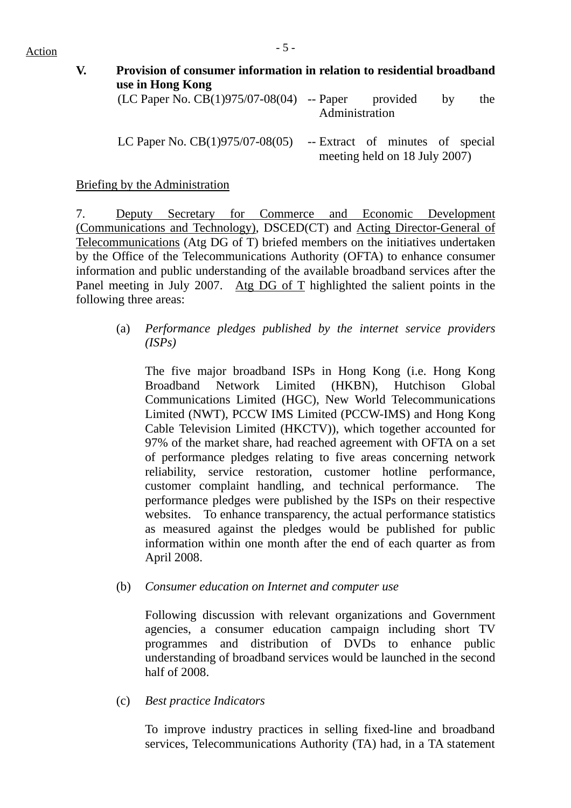| V. | Provision of consumer information in relation to residential broadband |                |                               |    |     |
|----|------------------------------------------------------------------------|----------------|-------------------------------|----|-----|
|    | use in Hong Kong                                                       |                |                               |    |     |
|    | (LC Paper No. $CB(1)975/07-08(04)$ -- Paper                            | Administration | provided                      | by | the |
|    |                                                                        |                |                               |    |     |
|    | LC Paper No. $CB(1)975/07-08(05)$ -- Extract of minutes of special     |                |                               |    |     |
|    |                                                                        |                | meeting held on 18 July 2007) |    |     |

Briefing by the Administration

7. Deputy Secretary for Commerce and Economic Development (Communications and Technology), DSCED(CT) and Acting Director-General of Telecommunications (Atg DG of T) briefed members on the initiatives undertaken by the Office of the Telecommunications Authority (OFTA) to enhance consumer information and public understanding of the available broadband services after the Panel meeting in July 2007. Atg DG of T highlighted the salient points in the following three areas:

(a) *Performance pledges published by the internet service providers (ISPs)* 

The five major broadband ISPs in Hong Kong (i.e. Hong Kong Broadband Network Limited (HKBN), Hutchison Global Communications Limited (HGC), New World Telecommunications Limited (NWT), PCCW IMS Limited (PCCW-IMS) and Hong Kong Cable Television Limited (HKCTV)), which together accounted for 97% of the market share, had reached agreement with OFTA on a set of performance pledges relating to five areas concerning network reliability, service restoration, customer hotline performance, customer complaint handling, and technical performance. The performance pledges were published by the ISPs on their respective websites. To enhance transparency, the actual performance statistics as measured against the pledges would be published for public information within one month after the end of each quarter as from April 2008.

(b) *Consumer education on Internet and computer use* 

Following discussion with relevant organizations and Government agencies, a consumer education campaign including short TV programmes and distribution of DVDs to enhance public understanding of broadband services would be launched in the second half of 2008.

(c) *Best practice Indicators* 

To improve industry practices in selling fixed-line and broadband services, Telecommunications Authority (TA) had, in a TA statement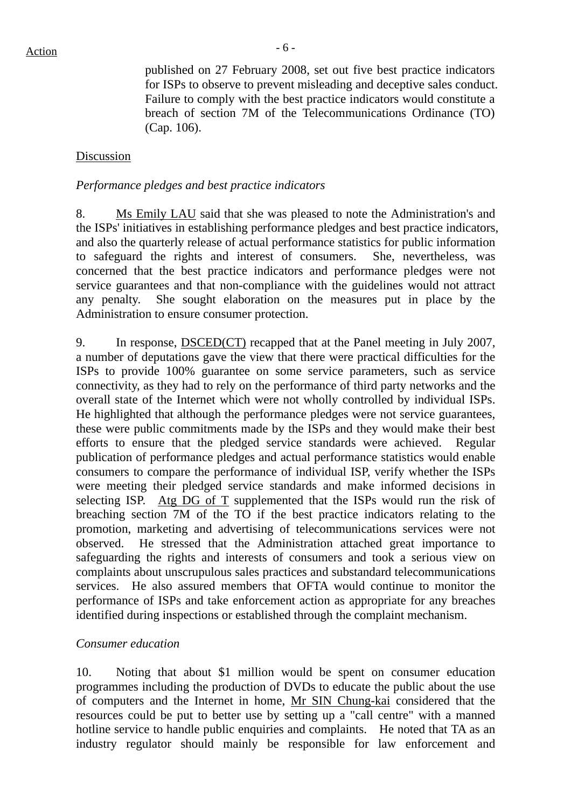published on 27 February 2008, set out five best practice indicators for ISPs to observe to prevent misleading and deceptive sales conduct. Failure to comply with the best practice indicators would constitute a breach of section 7M of the Telecommunications Ordinance (TO) (Cap. 106).

### Discussion

### *Performance pledges and best practice indicators*

8. Ms Emily LAU said that she was pleased to note the Administration's and the ISPs' initiatives in establishing performance pledges and best practice indicators, and also the quarterly release of actual performance statistics for public information to safeguard the rights and interest of consumers. She, nevertheless, was concerned that the best practice indicators and performance pledges were not service guarantees and that non-compliance with the guidelines would not attract any penalty. She sought elaboration on the measures put in place by the Administration to ensure consumer protection.

9. In response, DSCED(CT) recapped that at the Panel meeting in July 2007, a number of deputations gave the view that there were practical difficulties for the ISPs to provide 100% guarantee on some service parameters, such as service connectivity, as they had to rely on the performance of third party networks and the overall state of the Internet which were not wholly controlled by individual ISPs. He highlighted that although the performance pledges were not service guarantees, these were public commitments made by the ISPs and they would make their best efforts to ensure that the pledged service standards were achieved. Regular publication of performance pledges and actual performance statistics would enable consumers to compare the performance of individual ISP, verify whether the ISPs were meeting their pledged service standards and make informed decisions in selecting ISP. Atg DG of T supplemented that the ISPs would run the risk of breaching section 7M of the TO if the best practice indicators relating to the promotion, marketing and advertising of telecommunications services were not observed. He stressed that the Administration attached great importance to safeguarding the rights and interests of consumers and took a serious view on complaints about unscrupulous sales practices and substandard telecommunications services. He also assured members that OFTA would continue to monitor the performance of ISPs and take enforcement action as appropriate for any breaches identified during inspections or established through the complaint mechanism.

#### *Consumer education*

10. Noting that about \$1 million would be spent on consumer education programmes including the production of DVDs to educate the public about the use of computers and the Internet in home, Mr SIN Chung-kai considered that the resources could be put to better use by setting up a "call centre" with a manned hotline service to handle public enquiries and complaints. He noted that TA as an industry regulator should mainly be responsible for law enforcement and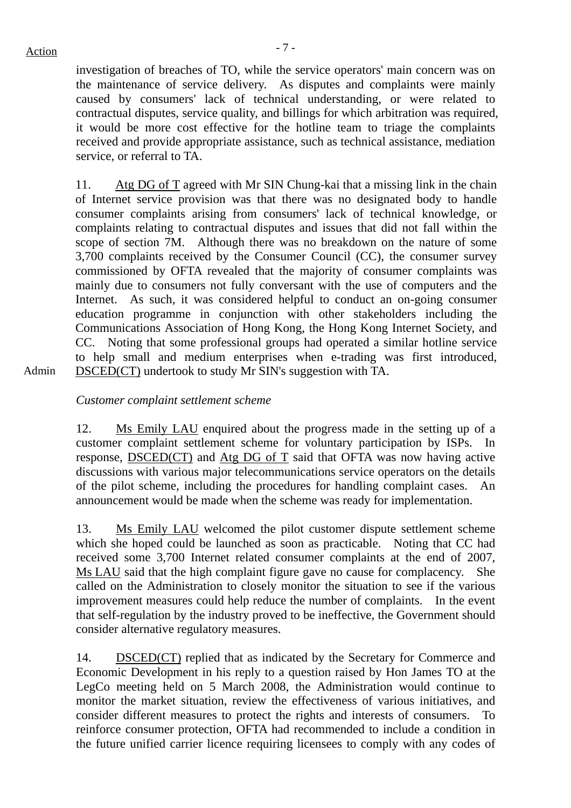Admin

investigation of breaches of TO, while the service operators' main concern was on the maintenance of service delivery. As disputes and complaints were mainly caused by consumers' lack of technical understanding, or were related to contractual disputes, service quality, and billings for which arbitration was required, it would be more cost effective for the hotline team to triage the complaints received and provide appropriate assistance, such as technical assistance, mediation service, or referral to TA.

11. Atg DG of T agreed with Mr SIN Chung-kai that a missing link in the chain of Internet service provision was that there was no designated body to handle consumer complaints arising from consumers' lack of technical knowledge, or complaints relating to contractual disputes and issues that did not fall within the scope of section 7M. Although there was no breakdown on the nature of some 3,700 complaints received by the Consumer Council (CC), the consumer survey commissioned by OFTA revealed that the majority of consumer complaints was mainly due to consumers not fully conversant with the use of computers and the Internet. As such, it was considered helpful to conduct an on-going consumer education programme in conjunction with other stakeholders including the Communications Association of Hong Kong, the Hong Kong Internet Society, and CC. Noting that some professional groups had operated a similar hotline service to help small and medium enterprises when e-trading was first introduced, DSCED(CT) undertook to study Mr SIN's suggestion with TA.

*Customer complaint settlement scheme* 

12. Ms Emily LAU enquired about the progress made in the setting up of a customer complaint settlement scheme for voluntary participation by ISPs. In response, DSCED(CT) and Atg DG of T said that OFTA was now having active discussions with various major telecommunications service operators on the details of the pilot scheme, including the procedures for handling complaint cases. An announcement would be made when the scheme was ready for implementation.

13. Ms Emily LAU welcomed the pilot customer dispute settlement scheme which she hoped could be launched as soon as practicable. Noting that CC had received some 3,700 Internet related consumer complaints at the end of 2007, Ms LAU said that the high complaint figure gave no cause for complacency. She called on the Administration to closely monitor the situation to see if the various improvement measures could help reduce the number of complaints. In the event that self-regulation by the industry proved to be ineffective, the Government should consider alternative regulatory measures.

14. DSCED(CT) replied that as indicated by the Secretary for Commerce and Economic Development in his reply to a question raised by Hon James TO at the LegCo meeting held on 5 March 2008, the Administration would continue to monitor the market situation, review the effectiveness of various initiatives, and consider different measures to protect the rights and interests of consumers. To reinforce consumer protection, OFTA had recommended to include a condition in the future unified carrier licence requiring licensees to comply with any codes of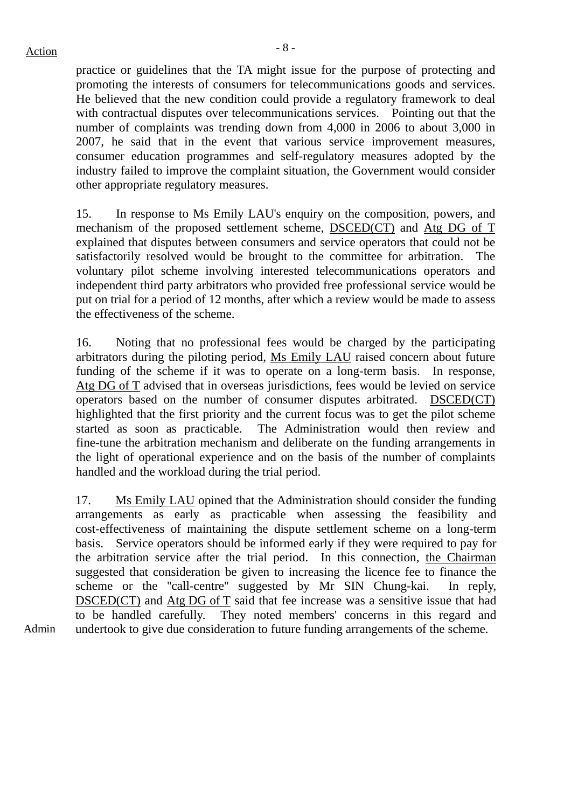practice or guidelines that the TA might issue for the purpose of protecting and promoting the interests of consumers for telecommunications goods and services. He believed that the new condition could provide a regulatory framework to deal with contractual disputes over telecommunications services. Pointing out that the number of complaints was trending down from 4,000 in 2006 to about 3,000 in 2007, he said that in the event that various service improvement measures, consumer education programmes and self-regulatory measures adopted by the industry failed to improve the complaint situation, the Government would consider other appropriate regulatory measures.

15. In response to Ms Emily LAU's enquiry on the composition, powers, and mechanism of the proposed settlement scheme, DSCED(CT) and Atg DG of T explained that disputes between consumers and service operators that could not be satisfactorily resolved would be brought to the committee for arbitration. The voluntary pilot scheme involving interested telecommunications operators and independent third party arbitrators who provided free professional service would be put on trial for a period of 12 months, after which a review would be made to assess the effectiveness of the scheme.

16. Noting that no professional fees would be charged by the participating arbitrators during the piloting period, Ms Emily LAU raised concern about future funding of the scheme if it was to operate on a long-term basis. In response, Atg DG of T advised that in overseas jurisdictions, fees would be levied on service operators based on the number of consumer disputes arbitrated. DSCED(CT) highlighted that the first priority and the current focus was to get the pilot scheme started as soon as practicable. The Administration would then review and fine-tune the arbitration mechanism and deliberate on the funding arrangements in the light of operational experience and on the basis of the number of complaints handled and the workload during the trial period.

17. Ms Emily LAU opined that the Administration should consider the funding arrangements as early as practicable when assessing the feasibility and cost-effectiveness of maintaining the dispute settlement scheme on a long-term basis. Service operators should be informed early if they were required to pay for the arbitration service after the trial period. In this connection, the Chairman suggested that consideration be given to increasing the licence fee to finance the scheme or the "call-centre" suggested by Mr SIN Chung-kai. In reply, DSCED(CT) and Atg DG of T said that fee increase was a sensitive issue that had to be handled carefully. They noted members' concerns in this regard and undertook to give due consideration to future funding arrangements of the scheme.

Admin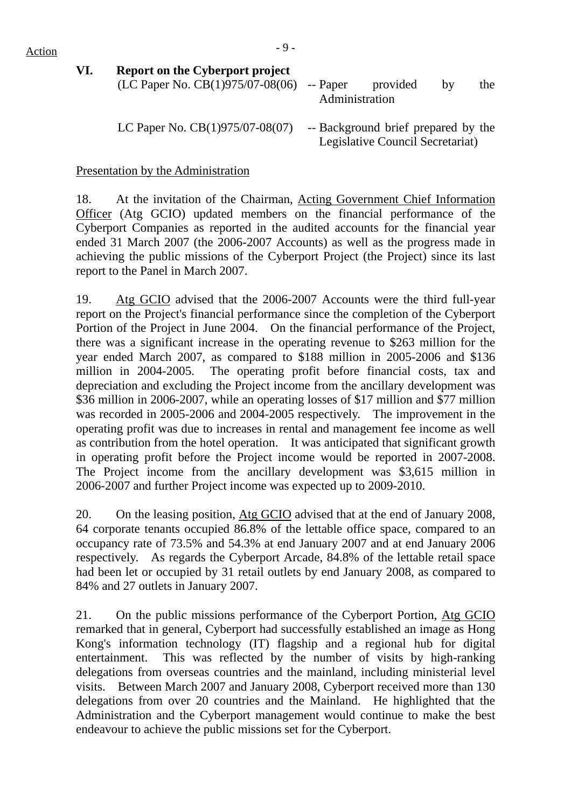| VI. | <b>Report on the Cyberport project</b><br>(LC Paper No. CB $(1)975/07-08(06)$ -- Paper | Administration                                                          | provided | hv | the |
|-----|----------------------------------------------------------------------------------------|-------------------------------------------------------------------------|----------|----|-----|
|     | LC Paper No. $CB(1)975/07-08(07)$                                                      | -- Background brief prepared by the<br>Legislative Council Secretariat) |          |    |     |

Presentation by the Administration

18. At the invitation of the Chairman, Acting Government Chief Information Officer (Atg GCIO) updated members on the financial performance of the Cyberport Companies as reported in the audited accounts for the financial year ended 31 March 2007 (the 2006-2007 Accounts) as well as the progress made in achieving the public missions of the Cyberport Project (the Project) since its last report to the Panel in March 2007.

19. Atg GCIO advised that the 2006-2007 Accounts were the third full-year report on the Project's financial performance since the completion of the Cyberport Portion of the Project in June 2004. On the financial performance of the Project, there was a significant increase in the operating revenue to \$263 million for the year ended March 2007, as compared to \$188 million in 2005-2006 and \$136 million in 2004-2005. The operating profit before financial costs, tax and depreciation and excluding the Project income from the ancillary development was \$36 million in 2006-2007, while an operating losses of \$17 million and \$77 million was recorded in 2005-2006 and 2004-2005 respectively. The improvement in the operating profit was due to increases in rental and management fee income as well as contribution from the hotel operation. It was anticipated that significant growth in operating profit before the Project income would be reported in 2007-2008. The Project income from the ancillary development was \$3,615 million in 2006-2007 and further Project income was expected up to 2009-2010.

20. On the leasing position, Atg GCIO advised that at the end of January 2008, 64 corporate tenants occupied 86.8% of the lettable office space, compared to an occupancy rate of 73.5% and 54.3% at end January 2007 and at end January 2006 respectively. As regards the Cyberport Arcade, 84.8% of the lettable retail space had been let or occupied by 31 retail outlets by end January 2008, as compared to 84% and 27 outlets in January 2007.

21. On the public missions performance of the Cyberport Portion, Atg GCIO remarked that in general, Cyberport had successfully established an image as Hong Kong's information technology (IT) flagship and a regional hub for digital entertainment. This was reflected by the number of visits by high-ranking delegations from overseas countries and the mainland, including ministerial level visits. Between March 2007 and January 2008, Cyberport received more than 130 delegations from over 20 countries and the Mainland. He highlighted that the Administration and the Cyberport management would continue to make the best endeavour to achieve the public missions set for the Cyberport.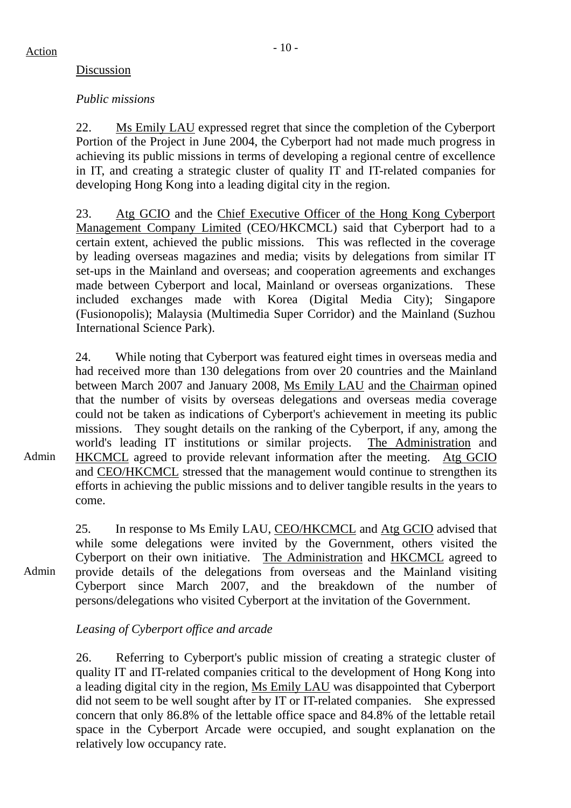Admin

### Discussion

### *Public missions*

22. Ms Emily LAU expressed regret that since the completion of the Cyberport Portion of the Project in June 2004, the Cyberport had not made much progress in achieving its public missions in terms of developing a regional centre of excellence in IT, and creating a strategic cluster of quality IT and IT-related companies for developing Hong Kong into a leading digital city in the region.

23. Atg GCIO and the Chief Executive Officer of the Hong Kong Cyberport Management Company Limited (CEO/HKCMCL) said that Cyberport had to a certain extent, achieved the public missions. This was reflected in the coverage by leading overseas magazines and media; visits by delegations from similar IT set-ups in the Mainland and overseas; and cooperation agreements and exchanges made between Cyberport and local, Mainland or overseas organizations. These included exchanges made with Korea (Digital Media City); Singapore (Fusionopolis); Malaysia (Multimedia Super Corridor) and the Mainland (Suzhou International Science Park).

24. While noting that Cyberport was featured eight times in overseas media and had received more than 130 delegations from over 20 countries and the Mainland between March 2007 and January 2008, Ms Emily LAU and the Chairman opined that the number of visits by overseas delegations and overseas media coverage could not be taken as indications of Cyberport's achievement in meeting its public missions. They sought details on the ranking of the Cyberport, if any, among the world's leading IT institutions or similar projects. The Administration and HKCMCL agreed to provide relevant information after the meeting. Atg GCIO and CEO/HKCMCL stressed that the management would continue to strengthen its efforts in achieving the public missions and to deliver tangible results in the years to come.

Admin 25. In response to Ms Emily LAU, CEO/HKCMCL and Atg GCIO advised that while some delegations were invited by the Government, others visited the Cyberport on their own initiative. The Administration and HKCMCL agreed to provide details of the delegations from overseas and the Mainland visiting Cyberport since March 2007, and the breakdown of the number of persons/delegations who visited Cyberport at the invitation of the Government.

### *Leasing of Cyberport office and arcade*

26. Referring to Cyberport's public mission of creating a strategic cluster of quality IT and IT-related companies critical to the development of Hong Kong into a leading digital city in the region, Ms Emily LAU was disappointed that Cyberport did not seem to be well sought after by IT or IT-related companies. She expressed concern that only 86.8% of the lettable office space and 84.8% of the lettable retail space in the Cyberport Arcade were occupied, and sought explanation on the relatively low occupancy rate.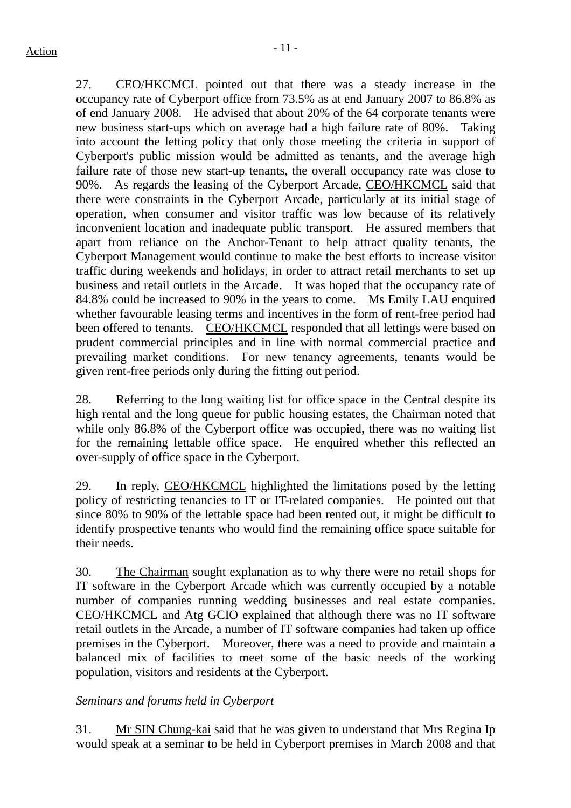27. CEO/HKCMCL pointed out that there was a steady increase in the occupancy rate of Cyberport office from 73.5% as at end January 2007 to 86.8% as of end January 2008. He advised that about 20% of the 64 corporate tenants were new business start-ups which on average had a high failure rate of 80%. Taking into account the letting policy that only those meeting the criteria in support of Cyberport's public mission would be admitted as tenants, and the average high failure rate of those new start-up tenants, the overall occupancy rate was close to 90%. As regards the leasing of the Cyberport Arcade, CEO/HKCMCL said that there were constraints in the Cyberport Arcade, particularly at its initial stage of operation, when consumer and visitor traffic was low because of its relatively inconvenient location and inadequate public transport. He assured members that apart from reliance on the Anchor-Tenant to help attract quality tenants, the Cyberport Management would continue to make the best efforts to increase visitor traffic during weekends and holidays, in order to attract retail merchants to set up business and retail outlets in the Arcade. It was hoped that the occupancy rate of 84.8% could be increased to 90% in the years to come. Ms Emily LAU enquired whether favourable leasing terms and incentives in the form of rent-free period had been offered to tenants. CEO/HKCMCL responded that all lettings were based on prudent commercial principles and in line with normal commercial practice and prevailing market conditions. For new tenancy agreements, tenants would be given rent-free periods only during the fitting out period.

28. Referring to the long waiting list for office space in the Central despite its high rental and the long queue for public housing estates, the Chairman noted that while only 86.8% of the Cyberport office was occupied, there was no waiting list for the remaining lettable office space. He enquired whether this reflected an over-supply of office space in the Cyberport.

29. In reply, CEO/HKCMCL highlighted the limitations posed by the letting policy of restricting tenancies to IT or IT-related companies. He pointed out that since 80% to 90% of the lettable space had been rented out, it might be difficult to identify prospective tenants who would find the remaining office space suitable for their needs.

30. The Chairman sought explanation as to why there were no retail shops for IT software in the Cyberport Arcade which was currently occupied by a notable number of companies running wedding businesses and real estate companies. CEO/HKCMCL and Atg GCIO explained that although there was no IT software retail outlets in the Arcade, a number of IT software companies had taken up office premises in the Cyberport. Moreover, there was a need to provide and maintain a balanced mix of facilities to meet some of the basic needs of the working population, visitors and residents at the Cyberport.

### *Seminars and forums held in Cyberport*

31. Mr SIN Chung-kai said that he was given to understand that Mrs Regina Ip would speak at a seminar to be held in Cyberport premises in March 2008 and that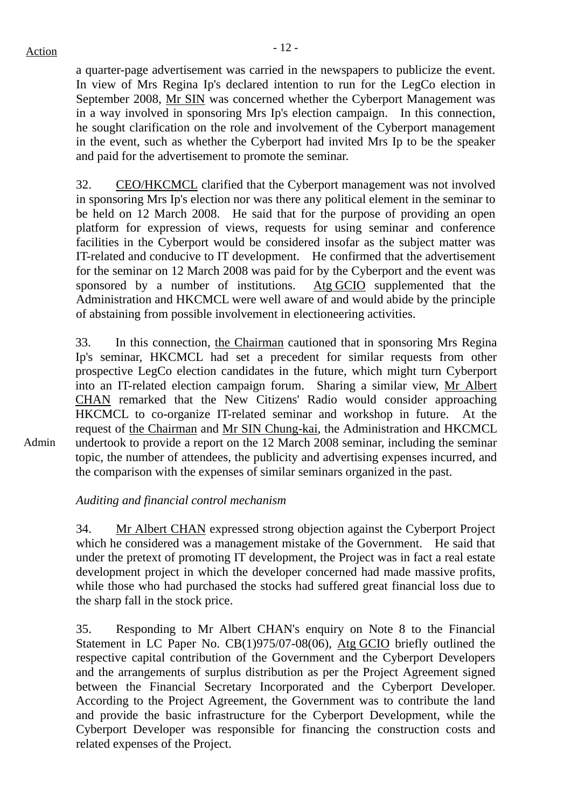a quarter-page advertisement was carried in the newspapers to publicize the event. In view of Mrs Regina Ip's declared intention to run for the LegCo election in September 2008, Mr SIN was concerned whether the Cyberport Management was in a way involved in sponsoring Mrs Ip's election campaign. In this connection, he sought clarification on the role and involvement of the Cyberport management in the event, such as whether the Cyberport had invited Mrs Ip to be the speaker and paid for the advertisement to promote the seminar.

32. CEO/HKCMCL clarified that the Cyberport management was not involved in sponsoring Mrs Ip's election nor was there any political element in the seminar to be held on 12 March 2008. He said that for the purpose of providing an open platform for expression of views, requests for using seminar and conference facilities in the Cyberport would be considered insofar as the subject matter was IT-related and conducive to IT development. He confirmed that the advertisement for the seminar on 12 March 2008 was paid for by the Cyberport and the event was sponsored by a number of institutions. Atg GCIO supplemented that the Administration and HKCMCL were well aware of and would abide by the principle of abstaining from possible involvement in electioneering activities.

33. In this connection, the Chairman cautioned that in sponsoring Mrs Regina Ip's seminar, HKCMCL had set a precedent for similar requests from other prospective LegCo election candidates in the future, which might turn Cyberport into an IT-related election campaign forum. Sharing a similar view, Mr Albert CHAN remarked that the New Citizens' Radio would consider approaching HKCMCL to co-organize IT-related seminar and workshop in future. At the request of the Chairman and Mr SIN Chung-kai, the Administration and HKCMCL undertook to provide a report on the 12 March 2008 seminar, including the seminar topic, the number of attendees, the publicity and advertising expenses incurred, and the comparison with the expenses of similar seminars organized in the past.

*Auditing and financial control mechanism* 

34. Mr Albert CHAN expressed strong objection against the Cyberport Project which he considered was a management mistake of the Government. He said that under the pretext of promoting IT development, the Project was in fact a real estate development project in which the developer concerned had made massive profits, while those who had purchased the stocks had suffered great financial loss due to the sharp fall in the stock price.

35. Responding to Mr Albert CHAN's enquiry on Note 8 to the Financial Statement in LC Paper No. CB(1)975/07-08(06), Atg GCIO briefly outlined the respective capital contribution of the Government and the Cyberport Developers and the arrangements of surplus distribution as per the Project Agreement signed between the Financial Secretary Incorporated and the Cyberport Developer. According to the Project Agreement, the Government was to contribute the land and provide the basic infrastructure for the Cyberport Development, while the Cyberport Developer was responsible for financing the construction costs and related expenses of the Project.

Admin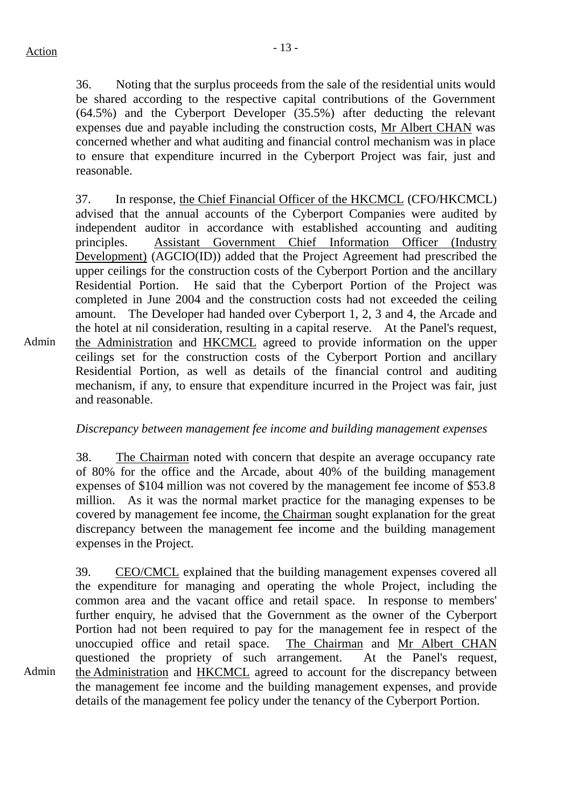Admin

Admin

36. Noting that the surplus proceeds from the sale of the residential units would be shared according to the respective capital contributions of the Government (64.5%) and the Cyberport Developer (35.5%) after deducting the relevant expenses due and payable including the construction costs, Mr Albert CHAN was concerned whether and what auditing and financial control mechanism was in place to ensure that expenditure incurred in the Cyberport Project was fair, just and reasonable.

37. In response, the Chief Financial Officer of the HKCMCL (CFO/HKCMCL) advised that the annual accounts of the Cyberport Companies were audited by independent auditor in accordance with established accounting and auditing principles. Assistant Government Chief Information Officer (Industry Development) (AGCIO(ID)) added that the Project Agreement had prescribed the upper ceilings for the construction costs of the Cyberport Portion and the ancillary Residential Portion. He said that the Cyberport Portion of the Project was completed in June 2004 and the construction costs had not exceeded the ceiling amount. The Developer had handed over Cyberport 1, 2, 3 and 4, the Arcade and the hotel at nil consideration, resulting in a capital reserve. At the Panel's request, the Administration and HKCMCL agreed to provide information on the upper ceilings set for the construction costs of the Cyberport Portion and ancillary Residential Portion, as well as details of the financial control and auditing mechanism, if any, to ensure that expenditure incurred in the Project was fair, just and reasonable.

### *Discrepancy between management fee income and building management expenses*

38. The Chairman noted with concern that despite an average occupancy rate of 80% for the office and the Arcade, about 40% of the building management expenses of \$104 million was not covered by the management fee income of \$53.8 million. As it was the normal market practice for the managing expenses to be covered by management fee income, the Chairman sought explanation for the great discrepancy between the management fee income and the building management expenses in the Project.

39. CEO/CMCL explained that the building management expenses covered all the expenditure for managing and operating the whole Project, including the common area and the vacant office and retail space. In response to members' further enquiry, he advised that the Government as the owner of the Cyberport Portion had not been required to pay for the management fee in respect of the unoccupied office and retail space. The Chairman and Mr Albert CHAN questioned the propriety of such arrangement. At the Panel's request, the Administration and HKCMCL agreed to account for the discrepancy between the management fee income and the building management expenses, and provide details of the management fee policy under the tenancy of the Cyberport Portion.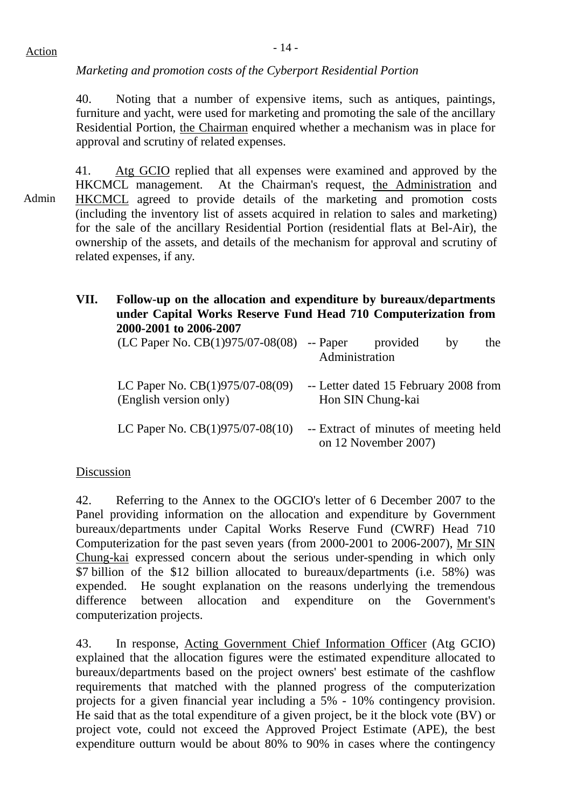### *Marketing and promotion costs of the Cyberport Residential Portion*

40. Noting that a number of expensive items, such as antiques, paintings, furniture and yacht, were used for marketing and promoting the sale of the ancillary Residential Portion, the Chairman enquired whether a mechanism was in place for approval and scrutiny of related expenses.

Admin 41. Atg GCIO replied that all expenses were examined and approved by the HKCMCL management. At the Chairman's request, the Administration and HKCMCL agreed to provide details of the marketing and promotion costs (including the inventory list of assets acquired in relation to sales and marketing) for the sale of the ancillary Residential Portion (residential flats at Bel-Air), the ownership of the assets, and details of the mechanism for approval and scrutiny of related expenses, if any.

| VII. | Follow-up on the allocation and expenditure by bureaux/departments<br>under Capital Works Reserve Fund Head 710 Computerization from<br>2000-2001 to 2006-2007 |                |                                                            |    |     |  |  |
|------|----------------------------------------------------------------------------------------------------------------------------------------------------------------|----------------|------------------------------------------------------------|----|-----|--|--|
|      | $(LC$ Paper No. $CB(1)975/07-08(08)$ -- Paper                                                                                                                  | Administration | provided                                                   | by | the |  |  |
|      | LC Paper No. $CB(1)975/07-08(09)$<br>(English version only)                                                                                                    |                | -- Letter dated 15 February 2008 from<br>Hon SIN Chung-kai |    |     |  |  |

LC Paper No.  $CB(1)975/07-08(10)$  -- Extract of minutes of meeting held on 12 November 2007)

#### Discussion

42. Referring to the Annex to the OGCIO's letter of 6 December 2007 to the Panel providing information on the allocation and expenditure by Government bureaux/departments under Capital Works Reserve Fund (CWRF) Head 710 Computerization for the past seven years (from 2000-2001 to 2006-2007), Mr SIN Chung-kai expressed concern about the serious under-spending in which only \$7 billion of the \$12 billion allocated to bureaux/departments (i.e. 58%) was expended. He sought explanation on the reasons underlying the tremendous difference between allocation and expenditure on the Government's computerization projects.

43. In response, Acting Government Chief Information Officer (Atg GCIO) explained that the allocation figures were the estimated expenditure allocated to bureaux/departments based on the project owners' best estimate of the cashflow requirements that matched with the planned progress of the computerization projects for a given financial year including a 5% - 10% contingency provision. He said that as the total expenditure of a given project, be it the block vote (BV) or project vote, could not exceed the Approved Project Estimate (APE), the best expenditure outturn would be about 80% to 90% in cases where the contingency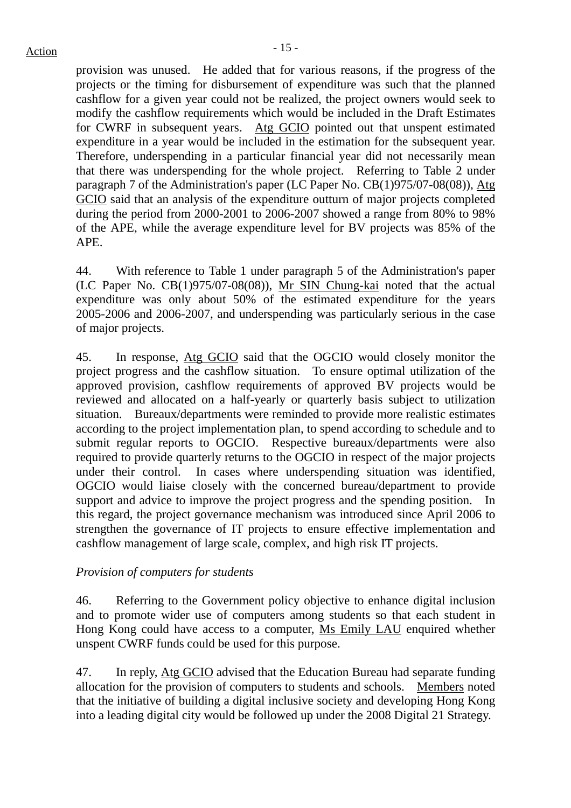provision was unused. He added that for various reasons, if the progress of the projects or the timing for disbursement of expenditure was such that the planned cashflow for a given year could not be realized, the project owners would seek to modify the cashflow requirements which would be included in the Draft Estimates for CWRF in subsequent years. Atg GCIO pointed out that unspent estimated expenditure in a year would be included in the estimation for the subsequent year. Therefore, underspending in a particular financial year did not necessarily mean that there was underspending for the whole project. Referring to Table 2 under paragraph 7 of the Administration's paper (LC Paper No. CB(1)975/07-08(08)), Atg GCIO said that an analysis of the expenditure outturn of major projects completed during the period from 2000-2001 to 2006-2007 showed a range from 80% to 98% of the APE, while the average expenditure level for BV projects was 85% of the APE.

44. With reference to Table 1 under paragraph 5 of the Administration's paper (LC Paper No. CB(1)975/07-08(08)), Mr SIN Chung-kai noted that the actual expenditure was only about 50% of the estimated expenditure for the years 2005-2006 and 2006-2007, and underspending was particularly serious in the case of major projects.

45. In response, Atg GCIO said that the OGCIO would closely monitor the project progress and the cashflow situation. To ensure optimal utilization of the approved provision, cashflow requirements of approved BV projects would be reviewed and allocated on a half-yearly or quarterly basis subject to utilization situation. Bureaux/departments were reminded to provide more realistic estimates according to the project implementation plan, to spend according to schedule and to submit regular reports to OGCIO. Respective bureaux/departments were also required to provide quarterly returns to the OGCIO in respect of the major projects under their control. In cases where underspending situation was identified, OGCIO would liaise closely with the concerned bureau/department to provide support and advice to improve the project progress and the spending position. In this regard, the project governance mechanism was introduced since April 2006 to strengthen the governance of IT projects to ensure effective implementation and cashflow management of large scale, complex, and high risk IT projects.

### *Provision of computers for students*

46. Referring to the Government policy objective to enhance digital inclusion and to promote wider use of computers among students so that each student in Hong Kong could have access to a computer, Ms Emily LAU enquired whether unspent CWRF funds could be used for this purpose.

47. In reply, Atg GCIO advised that the Education Bureau had separate funding allocation for the provision of computers to students and schools. Members noted that the initiative of building a digital inclusive society and developing Hong Kong into a leading digital city would be followed up under the 2008 Digital 21 Strategy.